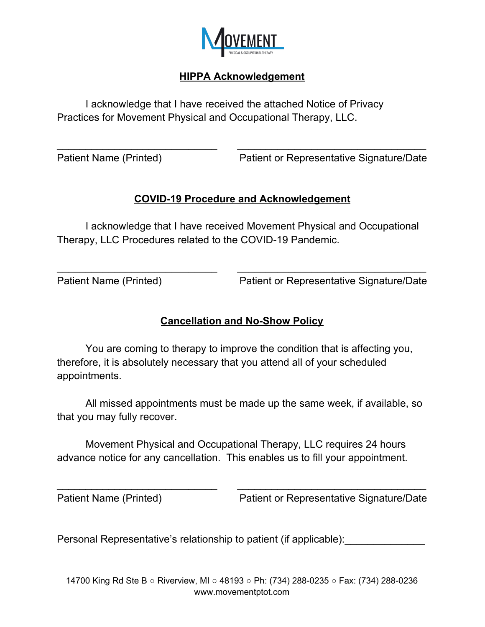

## **HIPPA Acknowledgement**

I acknowledge that I have received the attached Notice of Privacy Practices for Movement Physical and Occupational Therapy, LLC.

Patient Name (Printed) Patient or Representative Signature/Date

## **COVID-19 Procedure and Acknowledgement**

\_\_\_\_\_\_\_\_\_\_\_\_\_\_\_\_\_\_\_\_\_\_\_\_\_\_\_\_ \_\_\_\_\_\_\_\_\_\_\_\_\_\_\_\_\_\_\_\_\_\_\_\_\_\_\_\_\_\_\_\_\_

I acknowledge that I have received Movement Physical and Occupational Therapy, LLC Procedures related to the COVID-19 Pandemic.

\_\_\_\_\_\_\_\_\_\_\_\_\_\_\_\_\_\_\_\_\_\_\_\_\_\_\_\_ \_\_\_\_\_\_\_\_\_\_\_\_\_\_\_\_\_\_\_\_\_\_\_\_\_\_\_\_\_\_\_\_\_

Patient Name (Printed) Patient or Representative Signature/Date

## **Cancellation and No-Show Policy**

You are coming to therapy to improve the condition that is affecting you, therefore, it is absolutely necessary that you attend all of your scheduled appointments.

All missed appointments must be made up the same week, if available, so that you may fully recover.

Movement Physical and Occupational Therapy, LLC requires 24 hours advance notice for any cancellation. This enables us to fill your appointment.

\_\_\_\_\_\_\_\_\_\_\_\_\_\_\_\_\_\_\_\_\_\_\_\_\_\_\_\_ \_\_\_\_\_\_\_\_\_\_\_\_\_\_\_\_\_\_\_\_\_\_\_\_\_\_\_\_\_\_\_\_\_

Patient Name (Printed) Patient or Representative Signature/Date

Personal Representative's relationship to patient (if applicable):